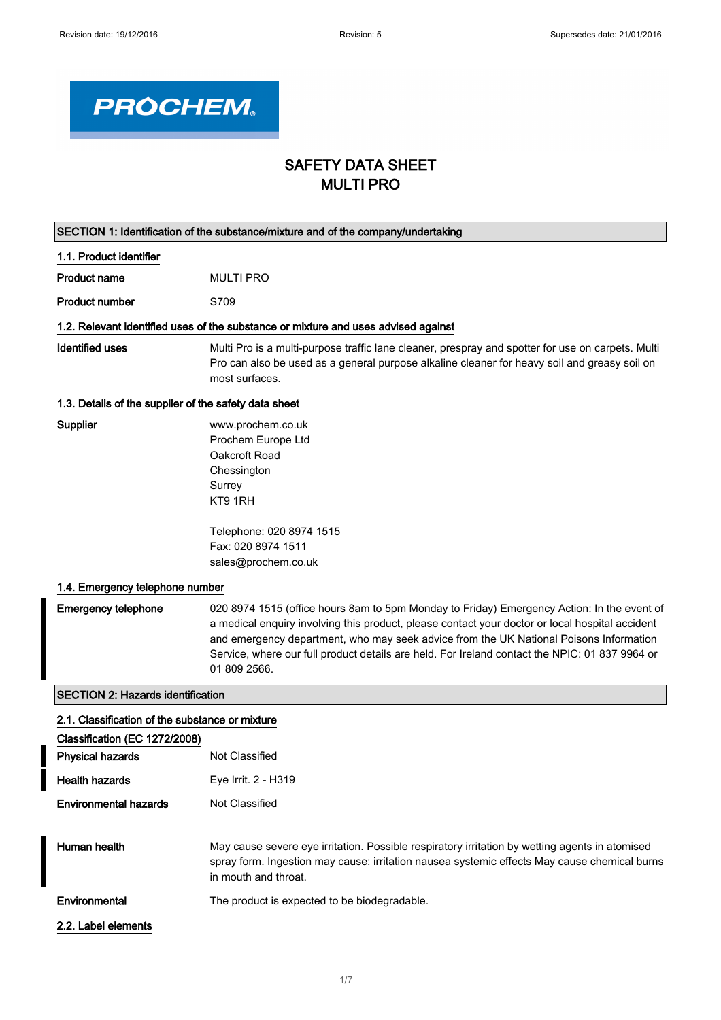

# SAFETY DATA SHEET MULTI PRO

| SECTION 1: Identification of the substance/mixture and of the company/undertaking |                                                                                                                                                                                                                                                                                                                                                                                                           |
|-----------------------------------------------------------------------------------|-----------------------------------------------------------------------------------------------------------------------------------------------------------------------------------------------------------------------------------------------------------------------------------------------------------------------------------------------------------------------------------------------------------|
| 1.1. Product identifier                                                           |                                                                                                                                                                                                                                                                                                                                                                                                           |
| <b>Product name</b>                                                               | <b>MULTI PRO</b>                                                                                                                                                                                                                                                                                                                                                                                          |
| <b>Product number</b>                                                             | S709                                                                                                                                                                                                                                                                                                                                                                                                      |
|                                                                                   | 1.2. Relevant identified uses of the substance or mixture and uses advised against                                                                                                                                                                                                                                                                                                                        |
| <b>Identified uses</b>                                                            | Multi Pro is a multi-purpose traffic lane cleaner, prespray and spotter for use on carpets. Multi<br>Pro can also be used as a general purpose alkaline cleaner for heavy soil and greasy soil on<br>most surfaces.                                                                                                                                                                                       |
| 1.3. Details of the supplier of the safety data sheet                             |                                                                                                                                                                                                                                                                                                                                                                                                           |
| Supplier                                                                          | www.prochem.co.uk<br>Prochem Europe Ltd<br>Oakcroft Road<br>Chessington<br>Surrey<br>KT9 1RH<br>Telephone: 020 8974 1515                                                                                                                                                                                                                                                                                  |
|                                                                                   | Fax: 020 8974 1511                                                                                                                                                                                                                                                                                                                                                                                        |
|                                                                                   | sales@prochem.co.uk                                                                                                                                                                                                                                                                                                                                                                                       |
| 1.4. Emergency telephone number                                                   |                                                                                                                                                                                                                                                                                                                                                                                                           |
| <b>Emergency telephone</b>                                                        | 020 8974 1515 (office hours 8am to 5pm Monday to Friday) Emergency Action: In the event of<br>a medical enquiry involving this product, please contact your doctor or local hospital accident<br>and emergency department, who may seek advice from the UK National Poisons Information<br>Service, where our full product details are held. For Ireland contact the NPIC: 01 837 9964 or<br>01 809 2566. |
| <b>SECTION 2: Hazards identification</b>                                          |                                                                                                                                                                                                                                                                                                                                                                                                           |
| 2.1. Classification of the substance or mixture                                   |                                                                                                                                                                                                                                                                                                                                                                                                           |
| Classification (EC 1272/2008)                                                     |                                                                                                                                                                                                                                                                                                                                                                                                           |
| <b>Physical hazards</b>                                                           | Not Classified                                                                                                                                                                                                                                                                                                                                                                                            |
| <b>Health hazards</b>                                                             | Eye Irrit. 2 - H319                                                                                                                                                                                                                                                                                                                                                                                       |
| <b>Environmental hazards</b>                                                      | Not Classified                                                                                                                                                                                                                                                                                                                                                                                            |
| Human health                                                                      | May cause severe eye irritation. Possible respiratory irritation by wetting agents in atomised<br>spray form. Ingestion may cause: irritation nausea systemic effects May cause chemical burns<br>in mouth and throat.                                                                                                                                                                                    |
| Environmental                                                                     | The product is expected to be biodegradable.                                                                                                                                                                                                                                                                                                                                                              |
| 2.2. Label elements                                                               |                                                                                                                                                                                                                                                                                                                                                                                                           |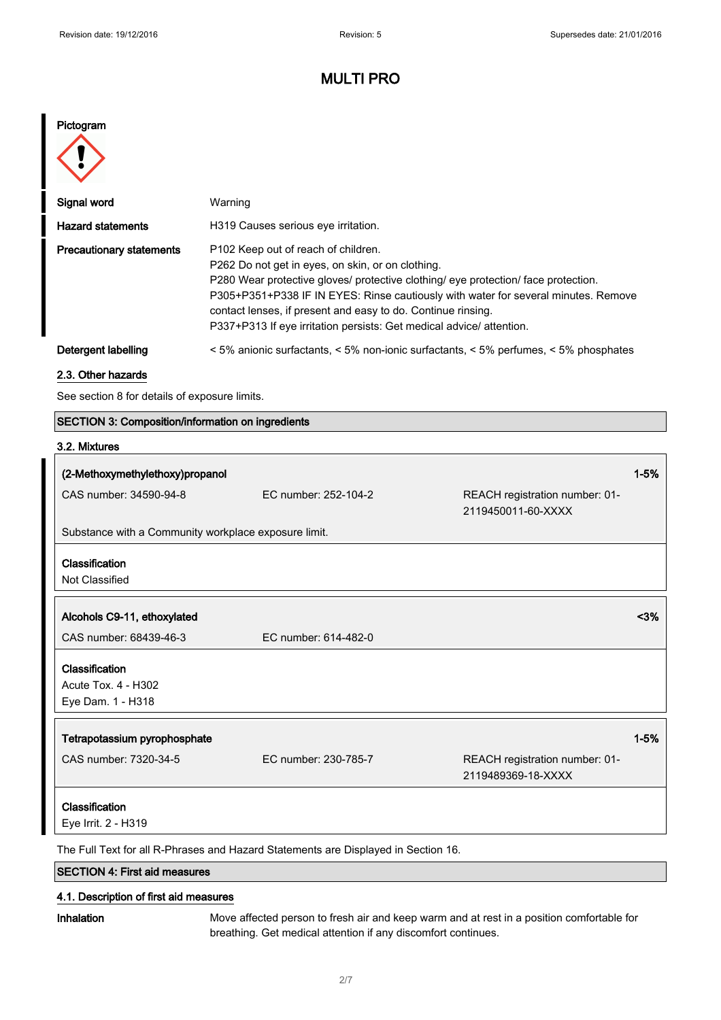# MULTI PRO

### Pictogram



| Signal word                     | Warning                                                                                                                                                                                                                                                                                                                                                                                                                 |
|---------------------------------|-------------------------------------------------------------------------------------------------------------------------------------------------------------------------------------------------------------------------------------------------------------------------------------------------------------------------------------------------------------------------------------------------------------------------|
| <b>Hazard statements</b>        | H319 Causes serious eve irritation.                                                                                                                                                                                                                                                                                                                                                                                     |
| <b>Precautionary statements</b> | P <sub>102</sub> Keep out of reach of children.<br>P262 Do not get in eyes, on skin, or on clothing.<br>P280 Wear protective gloves/ protective clothing/ eye protection/ face protection.<br>P305+P351+P338 IF IN EYES: Rinse cautiously with water for several minutes. Remove<br>contact lenses, if present and easy to do. Continue rinsing.<br>P337+P313 If eye irritation persists: Get medical advice/attention. |
| Detergent labelling             | $\leq$ 5% anionic surfactants, $\leq$ 5% non-ionic surfactants, $\leq$ 5% perfumes, $\leq$ 5% phosphates                                                                                                                                                                                                                                                                                                                |

#### 2.3. Other hazards

See section 8 for details of exposure limits.

### SECTION 3: Composition/information on ingredients

### 3.2. Mixtures

| (2-Methoxymethylethoxy)propanol                                                    |                      |                                                      | $1 - 5%$ |
|------------------------------------------------------------------------------------|----------------------|------------------------------------------------------|----------|
| CAS number: 34590-94-8                                                             | EC number: 252-104-2 | REACH registration number: 01-<br>2119450011-60-XXXX |          |
| Substance with a Community workplace exposure limit.                               |                      |                                                      |          |
| Classification                                                                     |                      |                                                      |          |
| Not Classified                                                                     |                      |                                                      |          |
|                                                                                    |                      |                                                      |          |
| Alcohols C9-11, ethoxylated                                                        |                      |                                                      | $3%$     |
| CAS number: 68439-46-3                                                             | EC number: 614-482-0 |                                                      |          |
| Classification                                                                     |                      |                                                      |          |
| Acute Tox. 4 - H302                                                                |                      |                                                      |          |
| Eye Dam. 1 - H318                                                                  |                      |                                                      |          |
| Tetrapotassium pyrophosphate                                                       |                      |                                                      | $1 - 5%$ |
|                                                                                    |                      |                                                      |          |
| CAS number: 7320-34-5                                                              | EC number: 230-785-7 | REACH registration number: 01-                       |          |
|                                                                                    |                      | 2119489369-18-XXXX                                   |          |
| Classification                                                                     |                      |                                                      |          |
| Eye Irrit. 2 - H319                                                                |                      |                                                      |          |
| The Full Text for all R-Phrases and Hazard Statements are Displayed in Section 16. |                      |                                                      |          |

SECTION 4: First aid measures

### 4.1. Description of first aid measures

Inhalation Move affected person to fresh air and keep warm and at rest in a position comfortable for breathing. Get medical attention if any discomfort continues.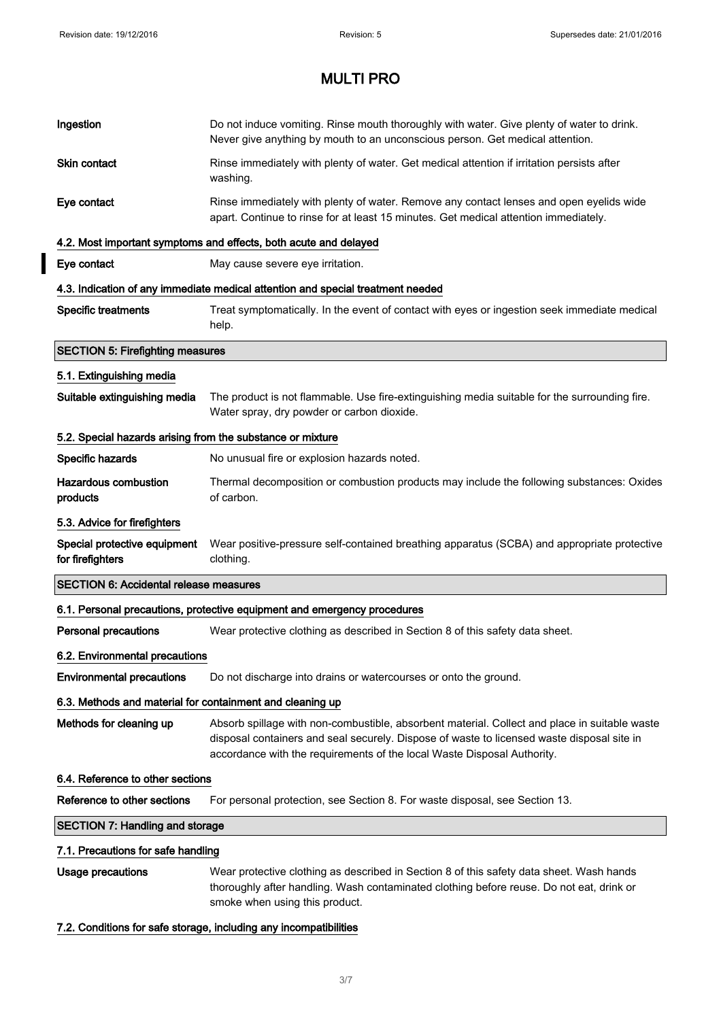$\overline{\mathbf{I}}$ 

# MULTI PRO

| Ingestion                                                  | Do not induce vomiting. Rinse mouth thoroughly with water. Give plenty of water to drink.<br>Never give anything by mouth to an unconscious person. Get medical attention.                                                                                             |
|------------------------------------------------------------|------------------------------------------------------------------------------------------------------------------------------------------------------------------------------------------------------------------------------------------------------------------------|
| <b>Skin contact</b>                                        | Rinse immediately with plenty of water. Get medical attention if irritation persists after<br>washing.                                                                                                                                                                 |
| Eye contact                                                | Rinse immediately with plenty of water. Remove any contact lenses and open eyelids wide<br>apart. Continue to rinse for at least 15 minutes. Get medical attention immediately.                                                                                        |
|                                                            | 4.2. Most important symptoms and effects, both acute and delayed                                                                                                                                                                                                       |
| Eye contact                                                | May cause severe eye irritation.                                                                                                                                                                                                                                       |
|                                                            | 4.3. Indication of any immediate medical attention and special treatment needed                                                                                                                                                                                        |
| <b>Specific treatments</b>                                 | Treat symptomatically. In the event of contact with eyes or ingestion seek immediate medical<br>help.                                                                                                                                                                  |
| <b>SECTION 5: Firefighting measures</b>                    |                                                                                                                                                                                                                                                                        |
| 5.1. Extinguishing media                                   |                                                                                                                                                                                                                                                                        |
| Suitable extinguishing media                               | The product is not flammable. Use fire-extinguishing media suitable for the surrounding fire.<br>Water spray, dry powder or carbon dioxide.                                                                                                                            |
| 5.2. Special hazards arising from the substance or mixture |                                                                                                                                                                                                                                                                        |
| Specific hazards                                           | No unusual fire or explosion hazards noted.                                                                                                                                                                                                                            |
| <b>Hazardous combustion</b><br>products                    | Thermal decomposition or combustion products may include the following substances: Oxides<br>of carbon.                                                                                                                                                                |
| 5.3. Advice for firefighters                               |                                                                                                                                                                                                                                                                        |
| Special protective equipment<br>for firefighters           | Wear positive-pressure self-contained breathing apparatus (SCBA) and appropriate protective<br>clothing.                                                                                                                                                               |
| <b>SECTION 6: Accidental release measures</b>              |                                                                                                                                                                                                                                                                        |
|                                                            | 6.1. Personal precautions, protective equipment and emergency procedures                                                                                                                                                                                               |
| <b>Personal precautions</b>                                | Wear protective clothing as described in Section 8 of this safety data sheet.                                                                                                                                                                                          |
| 6.2. Environmental precautions                             |                                                                                                                                                                                                                                                                        |
| <b>Environmental precautions</b>                           | Do not discharge into drains or watercourses or onto the ground.                                                                                                                                                                                                       |
| 6.3. Methods and material for containment and cleaning up  |                                                                                                                                                                                                                                                                        |
| Methods for cleaning up                                    | Absorb spillage with non-combustible, absorbent material. Collect and place in suitable waste<br>disposal containers and seal securely. Dispose of waste to licensed waste disposal site in<br>accordance with the requirements of the local Waste Disposal Authority. |
| 6.4. Reference to other sections                           |                                                                                                                                                                                                                                                                        |
| Reference to other sections                                | For personal protection, see Section 8. For waste disposal, see Section 13.                                                                                                                                                                                            |
| <b>SECTION 7: Handling and storage</b>                     |                                                                                                                                                                                                                                                                        |
| 7.1. Precautions for safe handling                         |                                                                                                                                                                                                                                                                        |
| Usage precautions                                          | Wear protective clothing as described in Section 8 of this safety data sheet. Wash hands<br>thoroughly after handling. Wash contaminated clothing before reuse. Do not eat, drink or<br>smoke when using this product.                                                 |
|                                                            |                                                                                                                                                                                                                                                                        |

### 7.2. Conditions for safe storage, including any incompatibilities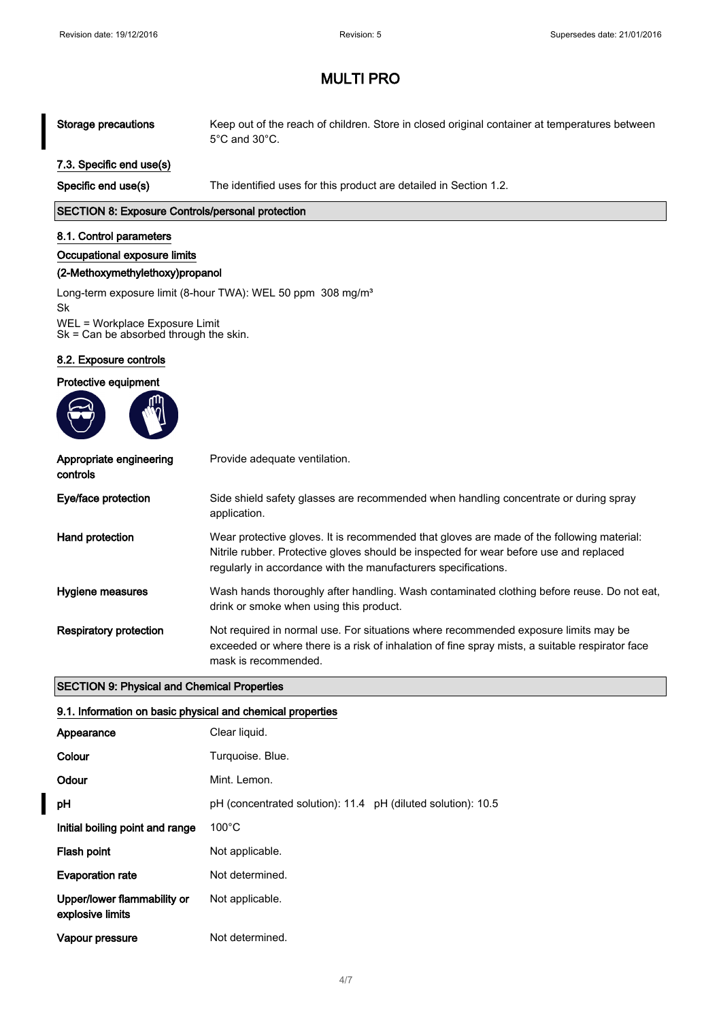# MULTI PRO

#### Storage precautions Keep out of the reach of children. Store in closed original container at temperatures between 5°C and 30°C.

### 7.3. Specific end use(s)

Specific end use(s) The identified uses for this product are detailed in Section 1.2.

#### SECTION 8: Exposure Controls/personal protection

#### 8.1. Control parameters

#### Occupational exposure limits

#### (2-Methoxymethylethoxy)propanol

Long-term exposure limit (8-hour TWA): WEL 50 ppm 308 mg/m<sup>3</sup>

Sk WEL = Workplace Exposure Limit Sk = Can be absorbed through the skin.

#### 8.2. Exposure controls





| Appropriate engineering<br>controls | Provide adequate ventilation.                                                                                                                                                                                                                         |
|-------------------------------------|-------------------------------------------------------------------------------------------------------------------------------------------------------------------------------------------------------------------------------------------------------|
| Eye/face protection                 | Side shield safety glasses are recommended when handling concentrate or during spray<br>application.                                                                                                                                                  |
| Hand protection                     | Wear protective gloves. It is recommended that gloves are made of the following material:<br>Nitrile rubber. Protective gloves should be inspected for wear before use and replaced<br>regularly in accordance with the manufacturers specifications. |
| Hygiene measures                    | Wash hands thoroughly after handling. Wash contaminated clothing before reuse. Do not eat,<br>drink or smoke when using this product.                                                                                                                 |
| <b>Respiratory protection</b>       | Not required in normal use. For situations where recommended exposure limits may be<br>exceeded or where there is a risk of inhalation of fine spray mists, a suitable respirator face<br>mask is recommended.                                        |

#### SECTION 9: Physical and Chemical Properties

#### 9.1. Information on basic physical and chemical properties

| Appearance                                      | Clear liquid.                                                |
|-------------------------------------------------|--------------------------------------------------------------|
| Colour                                          | Turquoise. Blue.                                             |
| Odour                                           | Mint. Lemon.                                                 |
| рH                                              | pH (concentrated solution): 11.4 pH (diluted solution): 10.5 |
| Initial boiling point and range                 | $100^{\circ}$ C                                              |
| Flash point                                     | Not applicable.                                              |
| <b>Evaporation rate</b>                         | Not determined.                                              |
| Upper/lower flammability or<br>explosive limits | Not applicable.                                              |
| Vapour pressure                                 | Not determined.                                              |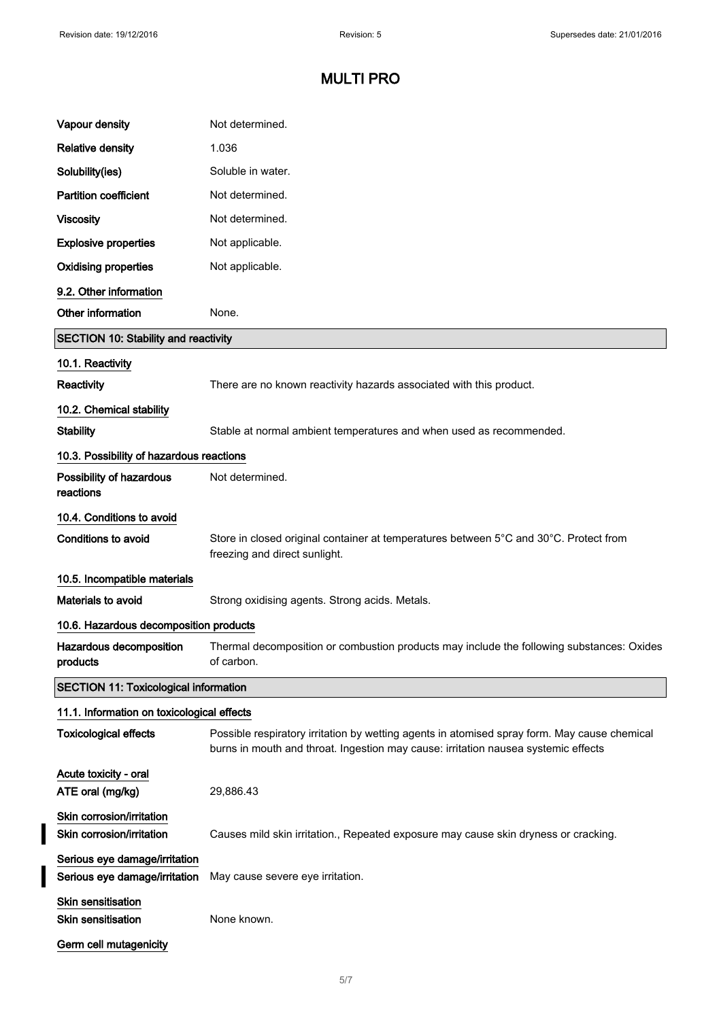$\overline{\mathbf{I}}$ 

 $\overline{\mathbf{I}}$ 

# MULTI PRO

| Vapour density                                                 | Not determined.                                                                                                                                                                    |
|----------------------------------------------------------------|------------------------------------------------------------------------------------------------------------------------------------------------------------------------------------|
| <b>Relative density</b>                                        | 1.036                                                                                                                                                                              |
| Solubility(ies)                                                | Soluble in water.                                                                                                                                                                  |
| <b>Partition coefficient</b>                                   | Not determined.                                                                                                                                                                    |
| <b>Viscosity</b>                                               | Not determined.                                                                                                                                                                    |
| <b>Explosive properties</b>                                    | Not applicable.                                                                                                                                                                    |
| <b>Oxidising properties</b>                                    | Not applicable.                                                                                                                                                                    |
| 9.2. Other information                                         |                                                                                                                                                                                    |
| Other information                                              | None.                                                                                                                                                                              |
| <b>SECTION 10: Stability and reactivity</b>                    |                                                                                                                                                                                    |
| 10.1. Reactivity                                               |                                                                                                                                                                                    |
| Reactivity                                                     | There are no known reactivity hazards associated with this product.                                                                                                                |
| 10.2. Chemical stability                                       |                                                                                                                                                                                    |
| <b>Stability</b>                                               | Stable at normal ambient temperatures and when used as recommended.                                                                                                                |
| 10.3. Possibility of hazardous reactions                       |                                                                                                                                                                                    |
| Possibility of hazardous<br>reactions                          | Not determined.                                                                                                                                                                    |
| 10.4. Conditions to avoid                                      |                                                                                                                                                                                    |
| Conditions to avoid                                            | Store in closed original container at temperatures between 5°C and 30°C. Protect from<br>freezing and direct sunlight.                                                             |
| 10.5. Incompatible materials                                   |                                                                                                                                                                                    |
| Materials to avoid                                             | Strong oxidising agents. Strong acids. Metals.                                                                                                                                     |
| 10.6. Hazardous decomposition products                         |                                                                                                                                                                                    |
| Hazardous decomposition<br>products                            | Thermal decomposition or combustion products may include the following substances: Oxides<br>of carbon.                                                                            |
| <b>SECTION 11: Toxicological information</b>                   |                                                                                                                                                                                    |
| 11.1. Information on toxicological effects                     |                                                                                                                                                                                    |
| <b>Toxicological effects</b>                                   | Possible respiratory irritation by wetting agents in atomised spray form. May cause chemical<br>burns in mouth and throat. Ingestion may cause: irritation nausea systemic effects |
| Acute toxicity - oral                                          |                                                                                                                                                                                    |
| ATE oral (mg/kg)                                               | 29,886.43                                                                                                                                                                          |
| Skin corrosion/irritation<br>Skin corrosion/irritation         | Causes mild skin irritation., Repeated exposure may cause skin dryness or cracking.                                                                                                |
| Serious eye damage/irritation<br>Serious eye damage/irritation | May cause severe eye irritation.                                                                                                                                                   |
| <b>Skin sensitisation</b><br><b>Skin sensitisation</b>         | None known.                                                                                                                                                                        |
| Germ cell mutagenicity                                         |                                                                                                                                                                                    |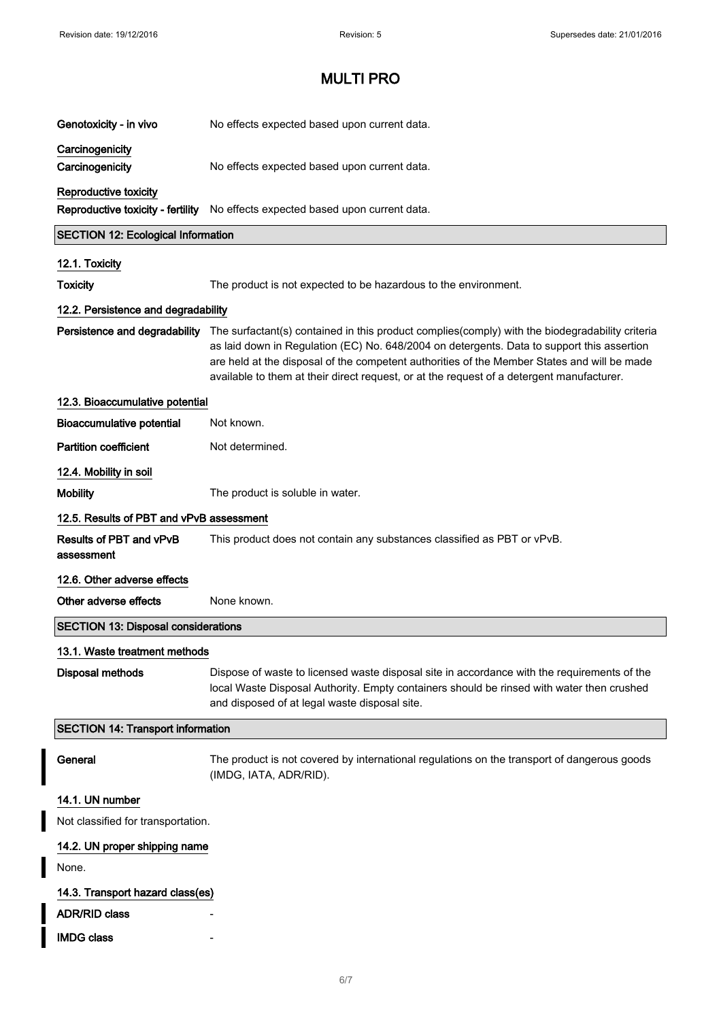I

 $\overline{\phantom{a}}$ 

# MULTI PRO

| Genotoxicity - in vivo                       | No effects expected based upon current data.                                                                                                                                                                                                                                                                                                                                              |
|----------------------------------------------|-------------------------------------------------------------------------------------------------------------------------------------------------------------------------------------------------------------------------------------------------------------------------------------------------------------------------------------------------------------------------------------------|
| Carcinogenicity<br>Carcinogenicity           | No effects expected based upon current data.                                                                                                                                                                                                                                                                                                                                              |
| Reproductive toxicity                        | Reproductive toxicity - fertility No effects expected based upon current data.                                                                                                                                                                                                                                                                                                            |
| <b>SECTION 12: Ecological Information</b>    |                                                                                                                                                                                                                                                                                                                                                                                           |
| 12.1. Toxicity                               |                                                                                                                                                                                                                                                                                                                                                                                           |
| <b>Toxicity</b>                              | The product is not expected to be hazardous to the environment.                                                                                                                                                                                                                                                                                                                           |
| 12.2. Persistence and degradability          |                                                                                                                                                                                                                                                                                                                                                                                           |
| Persistence and degradability                | The surfactant(s) contained in this product complies(comply) with the biodegradability criteria<br>as laid down in Regulation (EC) No. 648/2004 on detergents. Data to support this assertion<br>are held at the disposal of the competent authorities of the Member States and will be made<br>available to them at their direct request, or at the request of a detergent manufacturer. |
| 12.3. Bioaccumulative potential              |                                                                                                                                                                                                                                                                                                                                                                                           |
| <b>Bioaccumulative potential</b>             | Not known.                                                                                                                                                                                                                                                                                                                                                                                |
| <b>Partition coefficient</b>                 | Not determined.                                                                                                                                                                                                                                                                                                                                                                           |
| 12.4. Mobility in soil                       |                                                                                                                                                                                                                                                                                                                                                                                           |
| <b>Mobility</b>                              | The product is soluble in water.                                                                                                                                                                                                                                                                                                                                                          |
| 12.5. Results of PBT and vPvB assessment     |                                                                                                                                                                                                                                                                                                                                                                                           |
| <b>Results of PBT and vPvB</b><br>assessment | This product does not contain any substances classified as PBT or vPvB.                                                                                                                                                                                                                                                                                                                   |
| 12.6. Other adverse effects                  |                                                                                                                                                                                                                                                                                                                                                                                           |
| Other adverse effects                        | None known.                                                                                                                                                                                                                                                                                                                                                                               |
| <b>SECTION 13: Disposal considerations</b>   |                                                                                                                                                                                                                                                                                                                                                                                           |
| 13.1. Waste treatment methods                |                                                                                                                                                                                                                                                                                                                                                                                           |
| <b>Disposal methods</b>                      | Dispose of waste to licensed waste disposal site in accordance with the requirements of the<br>local Waste Disposal Authority. Empty containers should be rinsed with water then crushed<br>and disposed of at legal waste disposal site.                                                                                                                                                 |
| <b>SECTION 14: Transport information</b>     |                                                                                                                                                                                                                                                                                                                                                                                           |
| General                                      | The product is not covered by international regulations on the transport of dangerous goods<br>(IMDG, IATA, ADR/RID).                                                                                                                                                                                                                                                                     |
| 14.1. UN number                              |                                                                                                                                                                                                                                                                                                                                                                                           |
| Not classified for transportation.           |                                                                                                                                                                                                                                                                                                                                                                                           |
| 14.2. UN proper shipping name                |                                                                                                                                                                                                                                                                                                                                                                                           |
| None.                                        |                                                                                                                                                                                                                                                                                                                                                                                           |
| 14.3. Transport hazard class(es)             |                                                                                                                                                                                                                                                                                                                                                                                           |
| <b>ADR/RID class</b>                         |                                                                                                                                                                                                                                                                                                                                                                                           |
| <b>IMDG class</b>                            |                                                                                                                                                                                                                                                                                                                                                                                           |